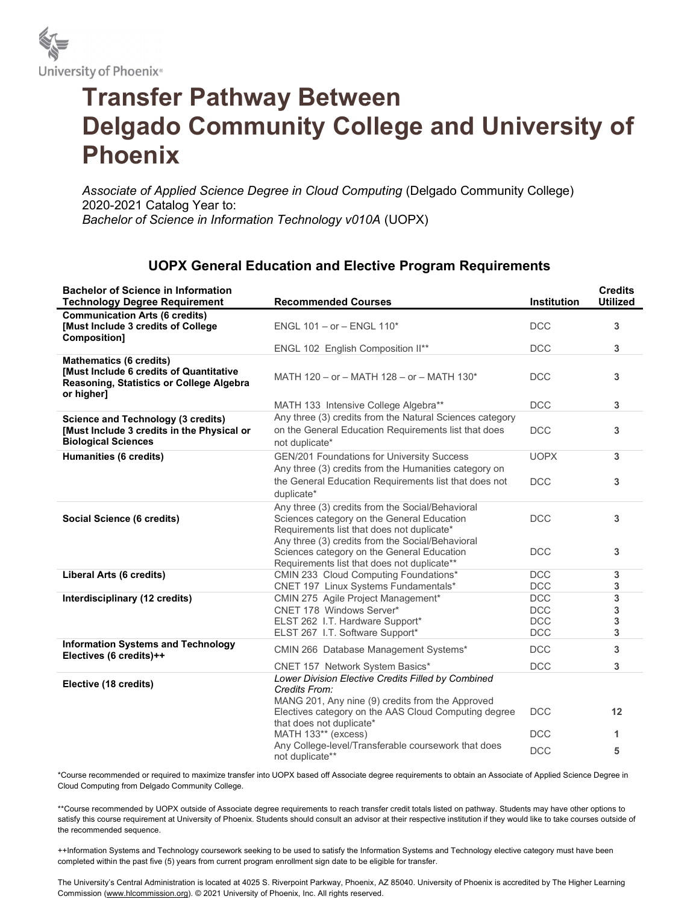

## Transfer Pathway Between Delgado Community College and University of Phoenix

Associate of Applied Science Degree in Cloud Computing (Delgado Community College) 2020-2021 Catalog Year to: Bachelor of Science in Information Technology v010A (UOPX)

## UOPX General Education and Elective Program Requirements

| <b>Bachelor of Science in Information</b><br><b>Technology Degree Requirement</b>                                                          | <b>Recommended Courses</b>                                                                                                                                                                                  | <b>Institution</b>                     | <b>Credits</b><br><b>Utilized</b> |
|--------------------------------------------------------------------------------------------------------------------------------------------|-------------------------------------------------------------------------------------------------------------------------------------------------------------------------------------------------------------|----------------------------------------|-----------------------------------|
| <b>Communication Arts (6 credits)</b><br>[Must Include 3 credits of College]<br>Composition]                                               | ENGL $101 - or - ENGL$ 110 <sup>*</sup>                                                                                                                                                                     | <b>DCC</b>                             | 3                                 |
|                                                                                                                                            | ENGL 102 English Composition II**                                                                                                                                                                           | <b>DCC</b>                             | $\mathbf{3}$                      |
| <b>Mathematics (6 credits)</b><br><b>[Must Include 6 credits of Quantitative</b><br>Reasoning, Statistics or College Algebra<br>or higher] | MATH 120 - or - MATH 128 - or - MATH 130*                                                                                                                                                                   | <b>DCC</b>                             | 3                                 |
|                                                                                                                                            | MATH 133 Intensive College Algebra**                                                                                                                                                                        | <b>DCC</b>                             | 3                                 |
| <b>Science and Technology (3 credits)</b><br>[Must Include 3 credits in the Physical or<br><b>Biological Sciences</b>                      | Any three (3) credits from the Natural Sciences category<br>on the General Education Requirements list that does<br>not duplicate*                                                                          | <b>DCC</b>                             | 3                                 |
| Humanities (6 credits)                                                                                                                     | GEN/201 Foundations for University Success<br>Any three (3) credits from the Humanities category on                                                                                                         | <b>UOPX</b>                            | 3                                 |
|                                                                                                                                            | the General Education Requirements list that does not<br>duplicate*                                                                                                                                         | <b>DCC</b>                             | $\mathbf{3}$                      |
| Social Science (6 credits)                                                                                                                 | Any three (3) credits from the Social/Behavioral<br>Sciences category on the General Education<br>Requirements list that does not duplicate*<br>Any three (3) credits from the Social/Behavioral            | <b>DCC</b>                             | 3                                 |
|                                                                                                                                            | Sciences category on the General Education<br>Requirements list that does not duplicate**                                                                                                                   | <b>DCC</b>                             | 3                                 |
| <b>Liberal Arts (6 credits)</b>                                                                                                            | CMIN 233 Cloud Computing Foundations*<br>CNET 197 Linux Systems Fundamentals*                                                                                                                               | <b>DCC</b><br>DCC                      | 3<br>3                            |
| Interdisciplinary (12 credits)                                                                                                             | CMIN 275 Agile Project Management*<br>CNET 178 Windows Server*<br>ELST 262 I.T. Hardware Support*<br>ELST 267 I.T. Software Support*                                                                        | DCC<br><b>DCC</b><br><b>DCC</b><br>DCC | 3<br>3<br>3<br>3                  |
| <b>Information Systems and Technology</b><br>Electives (6 credits)++                                                                       | CMIN 266 Database Management Systems*                                                                                                                                                                       | <b>DCC</b>                             | 3                                 |
|                                                                                                                                            | CNET 157 Network System Basics*                                                                                                                                                                             | <b>DCC</b>                             | 3                                 |
| Elective (18 credits)                                                                                                                      | Lower Division Elective Credits Filled by Combined<br>Credits From:<br>MANG 201, Any nine (9) credits from the Approved<br>Electives category on the AAS Cloud Computing degree<br>that does not duplicate* | <b>DCC</b>                             | 12                                |
|                                                                                                                                            | MATH 133** (excess)                                                                                                                                                                                         | <b>DCC</b>                             | $\mathbf{1}$                      |
|                                                                                                                                            | Any College-level/Transferable coursework that does<br>not duplicate**                                                                                                                                      | <b>DCC</b>                             | 5                                 |

\*Course recommended or required to maximize transfer into UOPX based off Associate degree requirements to obtain an Associate of Applied Science Degree in Cloud Computing from Delgado Community College.

\*\*Course recommended by UOPX outside of Associate degree requirements to reach transfer credit totals listed on pathway. Students may have other options to satisfy this course requirement at University of Phoenix. Students should consult an advisor at their respective institution if they would like to take courses outside of the recommended sequence.

++Information Systems and Technology coursework seeking to be used to satisfy the Information Systems and Technology elective category must have been completed within the past five (5) years from current program enrollment sign date to be eligible for transfer.

The University's Central Administration is located at 4025 S. Riverpoint Parkway, Phoenix, AZ 85040. University of Phoenix is accredited by The Higher Learning Commission (www.hlcommission.org). © 2021 University of Phoenix, Inc. All rights reserved.